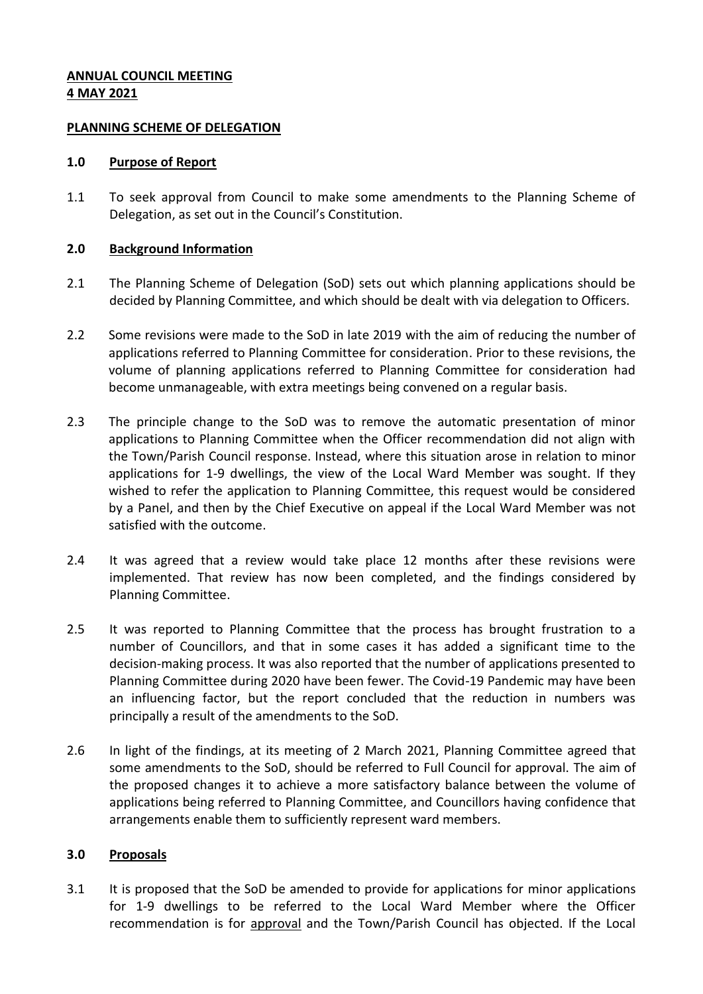### **ANNUAL COUNCIL MEETING 4 MAY 2021**

### **PLANNING SCHEME OF DELEGATION**

### **1.0 Purpose of Report**

1.1 To seek approval from Council to make some amendments to the Planning Scheme of Delegation, as set out in the Council's Constitution.

### **2.0 Background Information**

- 2.1 The Planning Scheme of Delegation (SoD) sets out which planning applications should be decided by Planning Committee, and which should be dealt with via delegation to Officers.
- 2.2 Some revisions were made to the SoD in late 2019 with the aim of reducing the number of applications referred to Planning Committee for consideration. Prior to these revisions, the volume of planning applications referred to Planning Committee for consideration had become unmanageable, with extra meetings being convened on a regular basis.
- 2.3 The principle change to the SoD was to remove the automatic presentation of minor applications to Planning Committee when the Officer recommendation did not align with the Town/Parish Council response. Instead, where this situation arose in relation to minor applications for 1-9 dwellings, the view of the Local Ward Member was sought. If they wished to refer the application to Planning Committee, this request would be considered by a Panel, and then by the Chief Executive on appeal if the Local Ward Member was not satisfied with the outcome.
- 2.4 It was agreed that a review would take place 12 months after these revisions were implemented. That review has now been completed, and the findings considered by Planning Committee.
- 2.5 It was reported to Planning Committee that the process has brought frustration to a number of Councillors, and that in some cases it has added a significant time to the decision-making process. It was also reported that the number of applications presented to Planning Committee during 2020 have been fewer. The Covid-19 Pandemic may have been an influencing factor, but the report concluded that the reduction in numbers was principally a result of the amendments to the SoD.
- 2.6 In light of the findings, at its meeting of 2 March 2021, Planning Committee agreed that some amendments to the SoD, should be referred to Full Council for approval. The aim of the proposed changes it to achieve a more satisfactory balance between the volume of applications being referred to Planning Committee, and Councillors having confidence that arrangements enable them to sufficiently represent ward members.

### **3.0 Proposals**

3.1 It is proposed that the SoD be amended to provide for applications for minor applications for 1-9 dwellings to be referred to the Local Ward Member where the Officer recommendation is for approval and the Town/Parish Council has objected. If the Local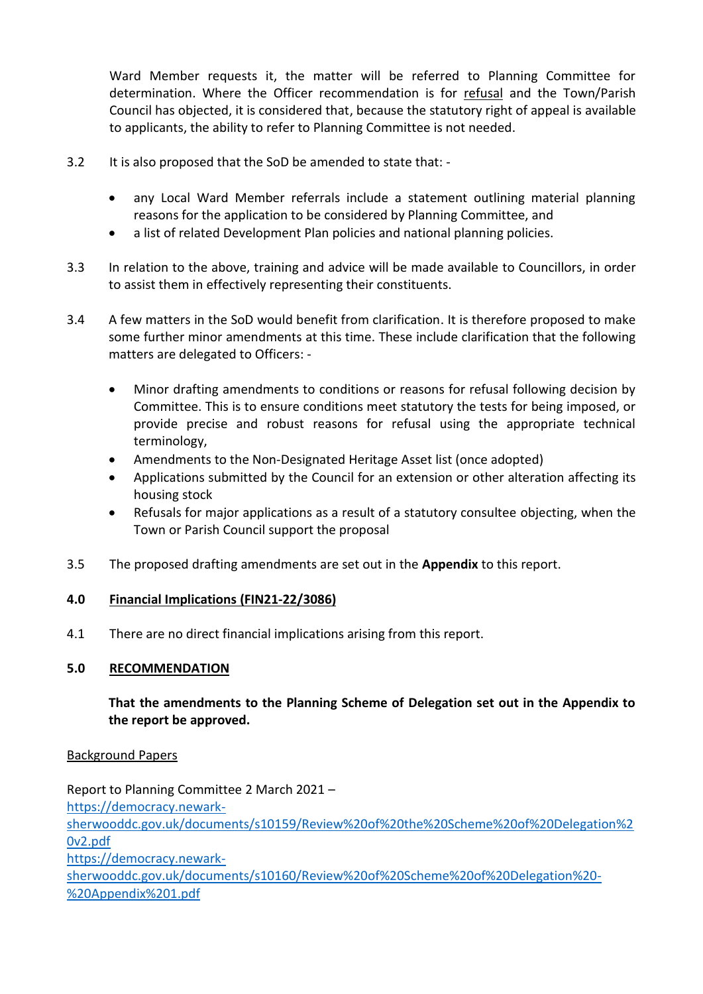Ward Member requests it, the matter will be referred to Planning Committee for determination. Where the Officer recommendation is for refusal and the Town/Parish Council has objected, it is considered that, because the statutory right of appeal is available to applicants, the ability to refer to Planning Committee is not needed.

- 3.2 It is also proposed that the SoD be amended to state that:
	- any Local Ward Member referrals include a statement outlining material planning reasons for the application to be considered by Planning Committee, and
	- a list of related Development Plan policies and national planning policies.
- 3.3 In relation to the above, training and advice will be made available to Councillors, in order to assist them in effectively representing their constituents.
- 3.4 A few matters in the SoD would benefit from clarification. It is therefore proposed to make some further minor amendments at this time. These include clarification that the following matters are delegated to Officers: -
	- Minor drafting amendments to conditions or reasons for refusal following decision by Committee. This is to ensure conditions meet statutory the tests for being imposed, or provide precise and robust reasons for refusal using the appropriate technical terminology,
	- Amendments to the Non-Designated Heritage Asset list (once adopted)
	- Applications submitted by the Council for an extension or other alteration affecting its housing stock
	- Refusals for major applications as a result of a statutory consultee objecting, when the Town or Parish Council support the proposal
- 3.5 The proposed drafting amendments are set out in the **Appendix** to this report.

# **4.0 Financial Implications (FIN21-22/3086)**

4.1 There are no direct financial implications arising from this report.

# **5.0 RECOMMENDATION**

# **That the amendments to the Planning Scheme of Delegation set out in the Appendix to the report be approved.**

### Background Papers

Report to Planning Committee 2 March 2021 – [https://democracy.newark](https://democracy.newark-sherwooddc.gov.uk/documents/s10159/Review%20of%20the%20Scheme%20of%20Delegation%20v2.pdf)[sherwooddc.gov.uk/documents/s10159/Review%20of%20the%20Scheme%20of%20Delegation%2](https://democracy.newark-sherwooddc.gov.uk/documents/s10159/Review%20of%20the%20Scheme%20of%20Delegation%20v2.pdf) [0v2.pdf](https://democracy.newark-sherwooddc.gov.uk/documents/s10159/Review%20of%20the%20Scheme%20of%20Delegation%20v2.pdf) [https://democracy.newark](https://democracy.newark-sherwooddc.gov.uk/documents/s10160/Review%20of%20Scheme%20of%20Delegation%20-%20Appendix%201.pdf)[sherwooddc.gov.uk/documents/s10160/Review%20of%20Scheme%20of%20Delegation%20-](https://democracy.newark-sherwooddc.gov.uk/documents/s10160/Review%20of%20Scheme%20of%20Delegation%20-%20Appendix%201.pdf) [%20Appendix%201.pdf](https://democracy.newark-sherwooddc.gov.uk/documents/s10160/Review%20of%20Scheme%20of%20Delegation%20-%20Appendix%201.pdf)